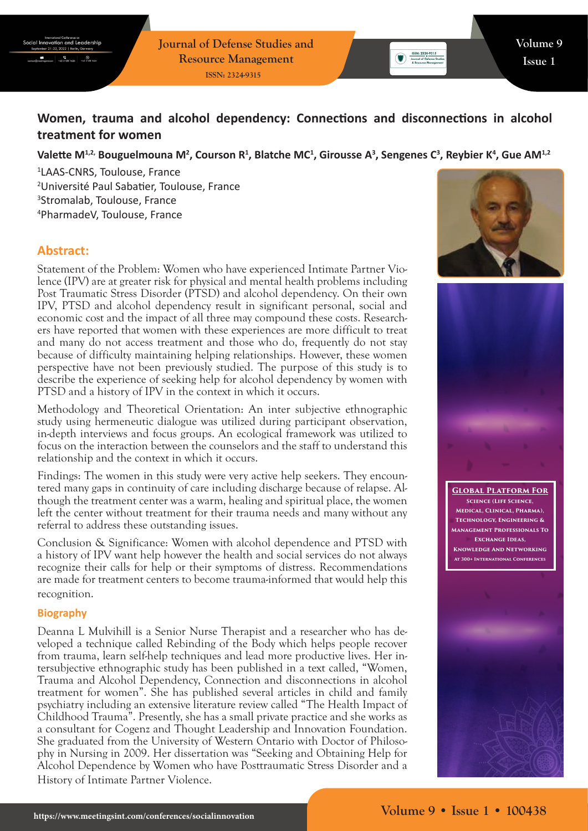**Journal of Defense Studies and Resource Management ISSN: 2324-9315**

# **Women, trauma and alcohol dependency: Connections and disconnections in alcohol treatment for women**

## Valette M<sup>1,2,</sup> Bouguelmouna M<sup>2</sup>, Courson R<sup>1</sup>, Blatche MC<sup>1</sup>, Girousse A<sup>3</sup>, Sengenes C<sup>3</sup>, Reybier K<sup>4</sup>, Gue AM<sup>1,2</sup>

 LAAS-CNRS, Toulouse, France Université Paul Sabatier, Toulouse, France Stromalab, Toulouse, France PharmadeV, Toulouse, France

# **Abstract:**

Statement of the Problem: Women who have experienced Intimate Partner Violence (IPV) are at greater risk for physical and mental health problems including Post Traumatic Stress Disorder (PTSD) and alcohol dependency. On their own IPV, PTSD and alcohol dependency result in significant personal, social and economic cost and the impact of all three may compound these costs. Researchers have reported that women with these experiences are more difficult to treat and many do not access treatment and those who do, frequently do not stay because of difficulty maintaining helping relationships. However, these women perspective have not been previously studied. The purpose of this study is to describe the experience of seeking help for alcohol dependency by women with PTSD and a history of IPV in the context in which it occurs.

Methodology and Theoretical Orientation: An inter subjective ethnographic study using hermeneutic dialogue was utilized during participant observation, in-depth interviews and focus groups. An ecological framework was utilized to focus on the interaction between the counselors and the staff to understand this relationship and the context in which it occurs.

Findings: The women in this study were very active help seekers. They encountered many gaps in continuity of care including discharge because of relapse. Although the treatment center was a warm, healing and spiritual place, the women left the center without treatment for their trauma needs and many without any referral to address these outstanding issues.

Conclusion & Significance: Women with alcohol dependence and PTSD with a history of IPV want help however the health and social services do not always recognize their calls for help or their symptoms of distress. Recommendations are made for treatment centers to become trauma-informed that would help this recognition.

#### **Biography**

Deanna L Mulvihill is a Senior Nurse Therapist and a researcher who has developed a technique called Rebinding of the Body which helps people recover from trauma, learn self-help techniques and lead more productive lives. Her intersubjective ethnographic study has been published in a text called, "Women, Trauma and Alcohol Dependency, Connection and disconnections in alcohol treatment for women". She has published several articles in child and family psychiatry including an extensive literature review called "The Health Impact of Childhood Trauma". Presently, she has a small private practice and she works as a consultant for Cogenz and Thought Leadership and Innovation Foundation. She graduated from the University of Western Ontario with Doctor of Philosophy in Nursing in 2009. Her dissertation was "Seeking and Obtaining Help for Alcohol Dependence by Women who have Posttraumatic Stress Disorder and a History of Intimate Partner Violence.



 $\begin{tabular}{|c|c|} \hline & ISBN: 2324-9315 \\ \hline \hline & Journal of Defonse 5 \\ \hline \end{tabular}$ 



**Global Platform For Science (Life Science, Medical, Clinical, Pharma), Technology, Engineering & Management Professionals To Exchange Ideas, Knowledge And Networking At 300+ International Conferences**